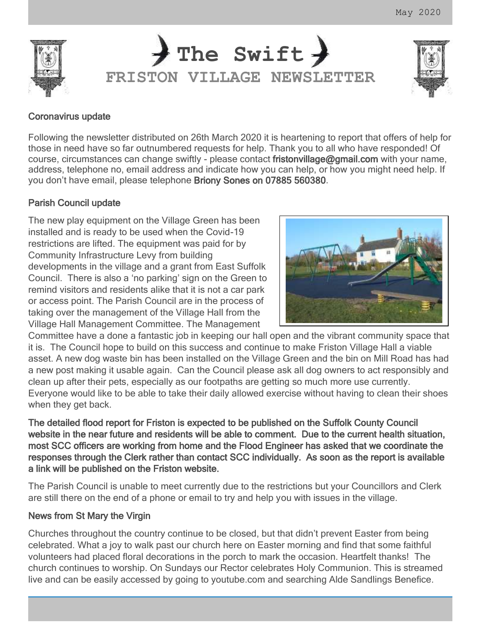



### Coronavirus update

Following the newsletter distributed on 26th March 2020 it is heartening to report that offers of help for those in need have so far outnumbered requests for help. Thank you to all who have responded! Of course, circumstances can change swiftly - please contact fristonvillage@gmail.com with your name, address, telephone no, email address and indicate how you can help, or how you might need help. If you don't have email, please telephone Briony Sones on 07885 560380.

# Parish Council update

The new play equipment on the Village Green has been installed and is ready to be used when the Covid-19 restrictions are lifted. The equipment was paid for by Community Infrastructure Levy from building developments in the village and a grant from East Suffolk Council. There is also a 'no parking' sign on the Green to remind visitors and residents alike that it is not a car park or access point. The Parish Council are in the process of taking over the management of the Village Hall from the Village Hall Management Committee. The Management



Committee have a done a fantastic job in keeping our hall open and the vibrant community space that it is. The Council hope to build on this success and continue to make Friston Village Hall a viable asset. A new dog waste bin has been installed on the Village Green and the bin on Mill Road has had a new post making it usable again. Can the Council please ask all dog owners to act responsibly and clean up after their pets, especially as our footpaths are getting so much more use currently. Everyone would like to be able to take their daily allowed exercise without having to clean their shoes when they get back.

The detailed flood report for Friston is expected to be published on the Suffolk County Council website in the near future and residents will be able to comment. Due to the current health situation, most SCC officers are working from home and the Flood Engineer has asked that we coordinate the responses through the Clerk rather than contact SCC individually. As soon as the report is available a link will be published on the Friston website.

The Parish Council is unable to meet currently due to the restrictions but your Councillors and Clerk are still there on the end of a phone or email to try and help you with issues in the village.

#### News from St Mary the Virgin

Churches throughout the country continue to be closed, but that didn't prevent Easter from being celebrated. What a joy to walk past our church here on Easter morning and find that some faithful volunteers had placed floral decorations in the porch to mark the occasion. Heartfelt thanks! The church continues to worship. On Sundays our Rector celebrates Holy Communion. This is streamed live and can be easily accessed by going to youtube.com and searching Alde Sandlings Benefice.